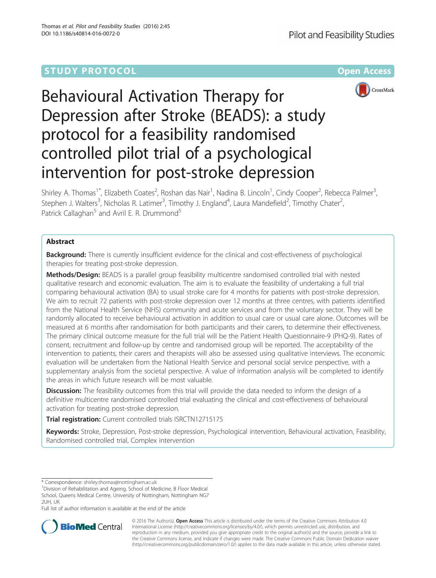# **STUDY PROTOCOL CONSUMING THE RESERVE ACCESS**



# Behavioural Activation Therapy for Depression after Stroke (BEADS): a study protocol for a feasibility randomised controlled pilot trial of a psychological intervention for post-stroke depression

Shirley A. Thomas<sup>1\*</sup>, Elizabeth Coates<sup>2</sup>, Roshan das Nair<sup>1</sup>, Nadina B. Lincoln<sup>1</sup>, Cindy Cooper<sup>2</sup>, Rebecca Palmer<sup>3</sup> , Stephen J. Walters<sup>3</sup>, Nicholas R. Latimer<sup>3</sup>, Timothy J. England<sup>4</sup>, Laura Mandefield<sup>2</sup>, Timothy Chater<sup>2</sup> , Patrick Callaghan<sup>5</sup> and Avril E. R. Drummond<sup>5</sup>

# Abstract

Background: There is currently insufficient evidence for the clinical and cost-effectiveness of psychological therapies for treating post-stroke depression.

Methods/Design: BEADS is a parallel group feasibility multicentre randomised controlled trial with nested qualitative research and economic evaluation. The aim is to evaluate the feasibility of undertaking a full trial comparing behavioural activation (BA) to usual stroke care for 4 months for patients with post-stroke depression. We aim to recruit 72 patients with post-stroke depression over 12 months at three centres, with patients identified from the National Health Service (NHS) community and acute services and from the voluntary sector. They will be randomly allocated to receive behavioural activation in addition to usual care or usual care alone. Outcomes will be measured at 6 months after randomisation for both participants and their carers, to determine their effectiveness. The primary clinical outcome measure for the full trial will be the Patient Health Questionnaire-9 (PHQ-9). Rates of consent, recruitment and follow-up by centre and randomised group will be reported. The acceptability of the intervention to patients, their carers and therapists will also be assessed using qualitative interviews. The economic evaluation will be undertaken from the National Health Service and personal social service perspective, with a supplementary analysis from the societal perspective. A value of information analysis will be completed to identify the areas in which future research will be most valuable.

**Discussion:** The feasibility outcomes from this trial will provide the data needed to inform the design of a definitive multicentre randomised controlled trial evaluating the clinical and cost-effectiveness of behavioural activation for treating post-stroke depression.

Trial registration: Current controlled trials [ISRCTN12715175](http://www.isrctn.com/ISRCTN12715175)

Keywords: Stroke, Depression, Post-stroke depression, Psychological intervention, Behavioural activation, Feasibility, Randomised controlled trial, Complex intervention

<sup>1</sup> Division of Rehabilitation and Ageing, School of Medicine, B Floor Medical School, Queens Medical Centre, University of Nottingham, Nottingham NG7 2UH, UK

Full list of author information is available at the end of the article



© 2016 The Author(s). Open Access This article is distributed under the terms of the Creative Commons Attribution 4.0 International License [\(http://creativecommons.org/licenses/by/4.0/](http://creativecommons.org/licenses/by/4.0/)), which permits unrestricted use, distribution, and reproduction in any medium, provided you give appropriate credit to the original author(s) and the source, provide a link to the Creative Commons license, and indicate if changes were made. The Creative Commons Public Domain Dedication waiver [\(http://creativecommons.org/publicdomain/zero/1.0/](http://creativecommons.org/publicdomain/zero/1.0/)) applies to the data made available in this article, unless otherwise stated.

<sup>\*</sup> Correspondence: [shirley.thomas@nottingham.ac.uk](mailto:shirley.thomas@nottingham.ac.uk) <sup>1</sup>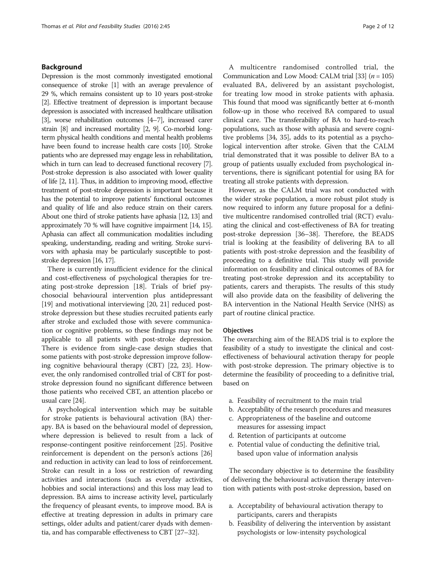### Background

Depression is the most commonly investigated emotional consequence of stroke [\[1\]](#page-9-0) with an average prevalence of 29 %, which remains consistent up to 10 years post-stroke [[2](#page-9-0)]. Effective treatment of depression is important because depression is associated with increased healthcare utilisation [[3](#page-9-0)], worse rehabilitation outcomes [\[4](#page-9-0)–[7](#page-10-0)], increased carer strain [\[8](#page-10-0)] and increased mortality [\[2](#page-9-0), [9\]](#page-10-0). Co-morbid longterm physical health conditions and mental health problems have been found to increase health care costs [\[10\]](#page-10-0). Stroke patients who are depressed may engage less in rehabilitation, which in turn can lead to decreased functional recovery [\[7](#page-10-0)]. Post-stroke depression is also associated with lower quality of life [\[2](#page-9-0), [11](#page-10-0)]. Thus, in addition to improving mood, effective treatment of post-stroke depression is important because it has the potential to improve patients' functional outcomes and quality of life and also reduce strain on their carers. About one third of stroke patients have aphasia [\[12](#page-10-0), [13](#page-10-0)] and approximately 70 % will have cognitive impairment [\[14](#page-10-0), [15\]](#page-10-0). Aphasia can affect all communication modalities including speaking, understanding, reading and writing. Stroke survivors with aphasia may be particularly susceptible to poststroke depression [[16, 17\]](#page-10-0).

There is currently insufficient evidence for the clinical and cost-effectiveness of psychological therapies for treating post-stroke depression [\[18\]](#page-10-0). Trials of brief psychosocial behavioural intervention plus antidepressant [[19](#page-10-0)] and motivational interviewing [[20](#page-10-0), [21](#page-10-0)] reduced poststroke depression but these studies recruited patients early after stroke and excluded those with severe communication or cognitive problems, so these findings may not be applicable to all patients with post-stroke depression. There is evidence from single-case design studies that some patients with post-stroke depression improve following cognitive behavioural therapy (CBT) [\[22, 23](#page-10-0)]. However, the only randomised controlled trial of CBT for poststroke depression found no significant difference between those patients who received CBT, an attention placebo or usual care [[24](#page-10-0)].

A psychological intervention which may be suitable for stroke patients is behavioural activation (BA) therapy. BA is based on the behavioural model of depression, where depression is believed to result from a lack of response-contingent positive reinforcement [[25](#page-10-0)]. Positive reinforcement is dependent on the person's actions [[26](#page-10-0)] and reduction in activity can lead to loss of reinforcement. Stroke can result in a loss or restriction of rewarding activities and interactions (such as everyday activities, hobbies and social interactions) and this loss may lead to depression. BA aims to increase activity level, particularly the frequency of pleasant events, to improve mood. BA is effective at treating depression in adults in primary care settings, older adults and patient/carer dyads with dementia, and has comparable effectiveness to CBT [[27](#page-10-0)–[32\]](#page-10-0).

A multicentre randomised controlled trial, the Communication and Low Mood: CALM trial [[33\]](#page-10-0)  $(n = 105)$ evaluated BA, delivered by an assistant psychologist, for treating low mood in stroke patients with aphasia. This found that mood was significantly better at 6-month follow-up in those who received BA compared to usual clinical care. The transferability of BA to hard-to-reach populations, such as those with aphasia and severe cognitive problems [\[34, 35](#page-10-0)], adds to its potential as a psychological intervention after stroke. Given that the CALM trial demonstrated that it was possible to deliver BA to a group of patients usually excluded from psychological interventions, there is significant potential for using BA for treating all stroke patients with depression.

However, as the CALM trial was not conducted with the wider stroke population, a more robust pilot study is now required to inform any future proposal for a definitive multicentre randomised controlled trial (RCT) evaluating the clinical and cost-effectiveness of BA for treating post-stroke depression [[36](#page-10-0)–[38\]](#page-10-0). Therefore, the BEADS trial is looking at the feasibility of delivering BA to all patients with post-stroke depression and the feasibility of proceeding to a definitive trial. This study will provide information on feasibility and clinical outcomes of BA for treating post-stroke depression and its acceptability to patients, carers and therapists. The results of this study will also provide data on the feasibility of delivering the BA intervention in the National Health Service (NHS) as part of routine clinical practice.

#### **Objectives**

The overarching aim of the BEADS trial is to explore the feasibility of a study to investigate the clinical and costeffectiveness of behavioural activation therapy for people with post-stroke depression. The primary objective is to determine the feasibility of proceeding to a definitive trial, based on

- a. Feasibility of recruitment to the main trial
- b. Acceptability of the research procedures and measures
- c. Appropriateness of the baseline and outcome measures for assessing impact
- d. Retention of participants at outcome
- e. Potential value of conducting the definitive trial, based upon value of information analysis

The secondary objective is to determine the feasibility of delivering the behavioural activation therapy intervention with patients with post-stroke depression, based on

- a. Acceptability of behavioural activation therapy to participants, carers and therapists
- b. Feasibility of delivering the intervention by assistant psychologists or low-intensity psychological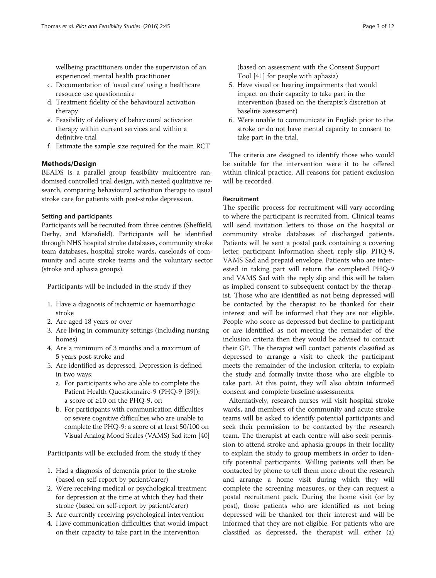wellbeing practitioners under the supervision of an experienced mental health practitioner

- c. Documentation of 'usual care' using a healthcare resource use questionnaire
- d. Treatment fidelity of the behavioural activation therapy
- e. Feasibility of delivery of behavioural activation therapy within current services and within a definitive trial
- f. Estimate the sample size required for the main RCT

## Methods/Design

BEADS is a parallel group feasibility multicentre randomised controlled trial design, with nested qualitative research, comparing behavioural activation therapy to usual stroke care for patients with post-stroke depression.

#### Setting and participants

Participants will be recruited from three centres (Sheffield, Derby, and Mansfield). Participants will be identified through NHS hospital stroke databases, community stroke team databases, hospital stroke wards, caseloads of community and acute stroke teams and the voluntary sector (stroke and aphasia groups).

Participants will be included in the study if they

- 1. Have a diagnosis of ischaemic or haemorrhagic stroke
- 2. Are aged 18 years or over
- 3. Are living in community settings (including nursing homes)
- 4. Are a minimum of 3 months and a maximum of 5 years post-stroke and
- 5. Are identified as depressed. Depression is defined in two ways:
	- a. For participants who are able to complete the Patient Health Questionnaire-9 (PHQ-9 [[39\]](#page-10-0)): a score of ≥10 on the PHQ-9, or;
	- b. For participants with communication difficulties or severe cognitive difficulties who are unable to complete the PHQ-9: a score of at least 50/100 on Visual Analog Mood Scales (VAMS) Sad item [\[40\]](#page-10-0)

Participants will be excluded from the study if they

- 1. Had a diagnosis of dementia prior to the stroke (based on self-report by patient/carer)
- 2. Were receiving medical or psychological treatment for depression at the time at which they had their stroke (based on self-report by patient/carer)
- 3. Are currently receiving psychological intervention
- 4. Have communication difficulties that would impact on their capacity to take part in the intervention

(based on assessment with the Consent Support Tool [\[41\]](#page-10-0) for people with aphasia)

- 5. Have visual or hearing impairments that would impact on their capacity to take part in the intervention (based on the therapist's discretion at baseline assessment)
- 6. Were unable to communicate in English prior to the stroke or do not have mental capacity to consent to take part in the trial.

The criteria are designed to identify those who would be suitable for the intervention were it to be offered within clinical practice. All reasons for patient exclusion will be recorded.

#### Recruitment

The specific process for recruitment will vary according to where the participant is recruited from. Clinical teams will send invitation letters to those on the hospital or community stroke databases of discharged patients. Patients will be sent a postal pack containing a covering letter, participant information sheet, reply slip, PHQ-9, VAMS Sad and prepaid envelope. Patients who are interested in taking part will return the completed PHQ-9 and VAMS Sad with the reply slip and this will be taken as implied consent to subsequent contact by the therapist. Those who are identified as not being depressed will be contacted by the therapist to be thanked for their interest and will be informed that they are not eligible. People who score as depressed but decline to participant or are identified as not meeting the remainder of the inclusion criteria then they would be advised to contact their GP. The therapist will contact patients classified as depressed to arrange a visit to check the participant meets the remainder of the inclusion criteria, to explain the study and formally invite those who are eligible to take part. At this point, they will also obtain informed consent and complete baseline assessments.

Alternatively, research nurses will visit hospital stroke wards, and members of the community and acute stroke teams will be asked to identify potential participants and seek their permission to be contacted by the research team. The therapist at each centre will also seek permission to attend stroke and aphasia groups in their locality to explain the study to group members in order to identify potential participants. Willing patients will then be contacted by phone to tell them more about the research and arrange a home visit during which they will complete the screening measures, or they can request a postal recruitment pack. During the home visit (or by post), those patients who are identified as not being depressed will be thanked for their interest and will be informed that they are not eligible. For patients who are classified as depressed, the therapist will either (a)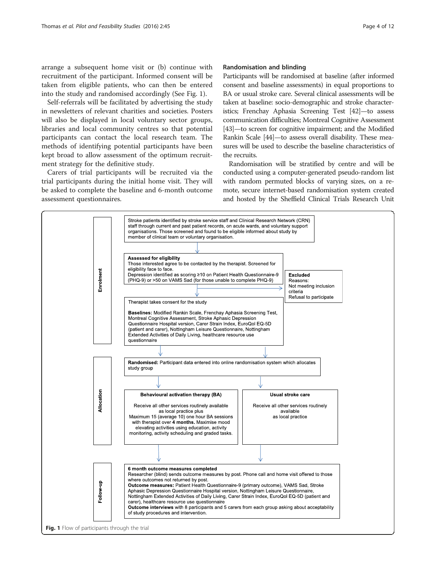arrange a subsequent home visit or (b) continue with recruitment of the participant. Informed consent will be taken from eligible patients, who can then be entered into the study and randomised accordingly (See Fig. 1).

Self-referrals will be facilitated by advertising the study in newsletters of relevant charities and societies. Posters will also be displayed in local voluntary sector groups, libraries and local community centres so that potential participants can contact the local research team. The methods of identifying potential participants have been kept broad to allow assessment of the optimum recruitment strategy for the definitive study.

Carers of trial participants will be recruited via the trial participants during the initial home visit. They will be asked to complete the baseline and 6-month outcome assessment questionnaires.

#### Randomisation and blinding

Participants will be randomised at baseline (after informed consent and baseline assessments) in equal proportions to BA or usual stroke care. Several clinical assessments will be taken at baseline: socio-demographic and stroke characteristics; Frenchay Aphasia Screening Test [[42\]](#page-10-0)—to assess communication difficulties; Montreal Cognitive Assessment [[43](#page-10-0)]—to screen for cognitive impairment; and the Modified Rankin Scale [[44](#page-10-0)]—to assess overall disability. These measures will be used to describe the baseline characteristics of the recruits.

Randomisation will be stratified by centre and will be conducted using a computer-generated pseudo-random list with random permuted blocks of varying sizes, on a remote, secure internet-based randomisation system created and hosted by the Sheffield Clinical Trials Research Unit

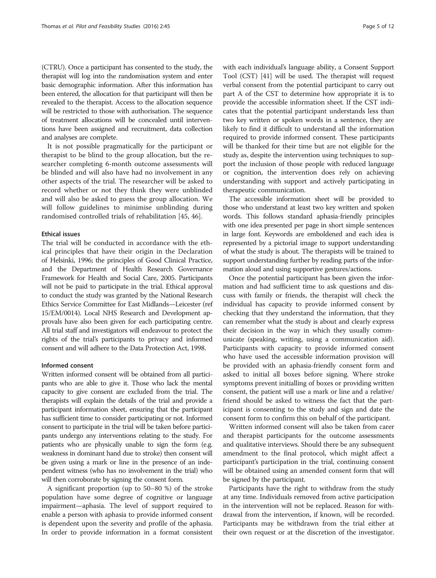(CTRU). Once a participant has consented to the study, the therapist will log into the randomisation system and enter basic demographic information. After this information has been entered, the allocation for that participant will then be revealed to the therapist. Access to the allocation sequence will be restricted to those with authorisation. The sequence of treatment allocations will be concealed until interventions have been assigned and recruitment, data collection and analyses are complete.

It is not possible pragmatically for the participant or therapist to be blind to the group allocation, but the researcher completing 6-month outcome assessments will be blinded and will also have had no involvement in any other aspects of the trial. The researcher will be asked to record whether or not they think they were unblinded and will also be asked to guess the group allocation. We will follow guidelines to minimise unblinding during randomised controlled trials of rehabilitation [[45](#page-10-0), [46](#page-10-0)].

#### Ethical issues

The trial will be conducted in accordance with the ethical principles that have their origin in the Declaration of Helsinki, 1996; the principles of Good Clinical Practice, and the Department of Health Research Governance Framework for Health and Social Care, 2005. Participants will not be paid to participate in the trial. Ethical approval to conduct the study was granted by the National Research Ethics Service Committee for East Midlands—Leicester (ref 15/EM/0014). Local NHS Research and Development approvals have also been given for each participating centre. All trial staff and investigators will endeavour to protect the rights of the trial's participants to privacy and informed consent and will adhere to the Data Protection Act, 1998.

#### Informed consent

Written informed consent will be obtained from all participants who are able to give it. Those who lack the mental capacity to give consent are excluded from the trial. The therapists will explain the details of the trial and provide a participant information sheet, ensuring that the participant has sufficient time to consider participating or not. Informed consent to participate in the trial will be taken before participants undergo any interventions relating to the study. For patients who are physically unable to sign the form (e.g. weakness in dominant hand due to stroke) then consent will be given using a mark or line in the presence of an independent witness (who has no involvement in the trial) who will then corroborate by signing the consent form.

A significant proportion (up to 50–80 %) of the stroke population have some degree of cognitive or language impairment—aphasia. The level of support required to enable a person with aphasia to provide informed consent is dependent upon the severity and profile of the aphasia. In order to provide information in a format consistent

with each individual's language ability, a Consent Support Tool (CST) [\[41\]](#page-10-0) will be used. The therapist will request verbal consent from the potential participant to carry out part A of the CST to determine how appropriate it is to provide the accessible information sheet. If the CST indicates that the potential participant understands less than two key written or spoken words in a sentence, they are likely to find it difficult to understand all the information required to provide informed consent. These participants will be thanked for their time but are not eligible for the study as, despite the intervention using techniques to support the inclusion of those people with reduced language or cognition, the intervention does rely on achieving understanding with support and actively participating in therapeutic communication.

The accessible information sheet will be provided to those who understand at least two key written and spoken words. This follows standard aphasia-friendly principles with one idea presented per page in short simple sentences in large font. Keywords are emboldened and each idea is represented by a pictorial image to support understanding of what the study is about. The therapists will be trained to support understanding further by reading parts of the information aloud and using supportive gestures/actions.

Once the potential participant has been given the information and had sufficient time to ask questions and discuss with family or friends, the therapist will check the individual has capacity to provide informed consent by checking that they understand the information, that they can remember what the study is about and clearly express their decision in the way in which they usually communicate (speaking, writing, using a communication aid). Participants with capacity to provide informed consent who have used the accessible information provision will be provided with an aphasia-friendly consent form and asked to initial all boxes before signing. Where stroke symptoms prevent initialling of boxes or providing written consent, the patient will use a mark or line and a relative/ friend should be asked to witness the fact that the participant is consenting to the study and sign and date the consent form to confirm this on behalf of the participant.

Written informed consent will also be taken from carer and therapist participants for the outcome assessments and qualitative interviews. Should there be any subsequent amendment to the final protocol, which might affect a participant's participation in the trial, continuing consent will be obtained using an amended consent form that will be signed by the participant.

Participants have the right to withdraw from the study at any time. Individuals removed from active participation in the intervention will not be replaced. Reason for withdrawal from the intervention, if known, will be recorded. Participants may be withdrawn from the trial either at their own request or at the discretion of the investigator.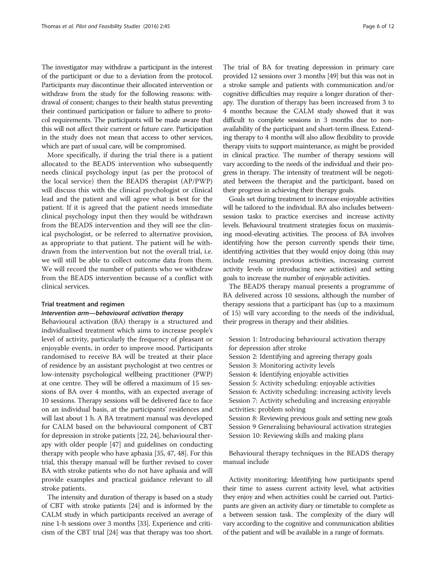The investigator may withdraw a participant in the interest of the participant or due to a deviation from the protocol. Participants may discontinue their allocated intervention or withdraw from the study for the following reasons: withdrawal of consent; changes to their health status preventing their continued participation or failure to adhere to protocol requirements. The participants will be made aware that this will not affect their current or future care. Participation in the study does not mean that access to other services, which are part of usual care, will be compromised.

More specifically, if during the trial there is a patient allocated to the BEADS intervention who subsequently needs clinical psychology input (as per the protocol of the local service) then the BEADS therapist (AP/PWP) will discuss this with the clinical psychologist or clinical lead and the patient and will agree what is best for the patient. If it is agreed that the patient needs immediate clinical psychology input then they would be withdrawn from the BEADS intervention and they will see the clinical psychologist, or be referred to alternative provision, as appropriate to that patient. The patient will be withdrawn from the intervention but not the overall trial, i.e. we will still be able to collect outcome data from them. We will record the number of patients who we withdraw from the BEADS intervention because of a conflict with clinical services.

#### Trial treatment and regimen

#### Intervention arm—behavioural activation therapy

Behavioural activation (BA) therapy is a structured and individualised treatment which aims to increase people's level of activity, particularly the frequency of pleasant or enjoyable events, in order to improve mood. Participants randomised to receive BA will be treated at their place of residence by an assistant psychologist at two centres or low-intensity psychological wellbeing practitioner (PWP) at one centre. They will be offered a maximum of 15 sessions of BA over 4 months, with an expected average of 10 sessions. Therapy sessions will be delivered face to face on an individual basis, at the participants' residences and will last about 1 h. A BA treatment manual was developed for CALM based on the behavioural component of CBT for depression in stroke patients [[22](#page-10-0), [24](#page-10-0)], behavioural therapy with older people [[47](#page-10-0)] and guidelines on conducting therapy with people who have aphasia [[35](#page-10-0), [47, 48](#page-10-0)]. For this trial, this therapy manual will be further revised to cover BA with stroke patients who do not have aphasia and will provide examples and practical guidance relevant to all stroke patients.

The intensity and duration of therapy is based on a study of CBT with stroke patients [\[24](#page-10-0)] and is informed by the CALM study in which participants received an average of nine 1-h sessions over 3 months [[33](#page-10-0)]. Experience and criticism of the CBT trial [\[24](#page-10-0)] was that therapy was too short.

The trial of BA for treating depression in primary care provided 12 sessions over 3 months [\[49\]](#page-10-0) but this was not in a stroke sample and patients with communication and/or cognitive difficulties may require a longer duration of therapy. The duration of therapy has been increased from 3 to 4 months because the CALM study showed that it was difficult to complete sessions in 3 months due to nonavailability of the participant and short-term illness. Extending therapy to 4 months will also allow flexibility to provide therapy visits to support maintenance, as might be provided in clinical practice. The number of therapy sessions will vary according to the needs of the individual and their progress in therapy. The intensity of treatment will be negotiated between the therapist and the participant, based on their progress in achieving their therapy goals.

Goals set during treatment to increase enjoyable activities will be tailored to the individual. BA also includes betweensession tasks to practice exercises and increase activity levels. Behavioural treatment strategies focus on maximising mood-elevating activities. The process of BA involves identifying how the person currently spends their time, identifying activities that they would enjoy doing (this may include resuming previous activities, increasing current activity levels or introducing new activities) and setting goals to increase the number of enjoyable activities.

The BEADS therapy manual presents a programme of BA delivered across 10 sessions, although the number of therapy sessions that a participant has (up to a maximum of 15) will vary according to the needs of the individual, their progress in therapy and their abilities.

Session 1: Introducing behavioural activation therapy for depression after stroke

Session 2: Identifying and agreeing therapy goals Session 3: Monitoring activity levels Session 4: Identifying enjoyable activities Session 5: Activity scheduling: enjoyable activities Session 6: Activity scheduling: increasing activity levels Session 7: Activity scheduling and increasing enjoyable activities: problem solving Session 8: Reviewing previous goals and setting new goals Session 9 Generalising behavioural activation strategies Session 10: Reviewing skills and making plans

Behavioural therapy techniques in the BEADS therapy manual include

Activity monitoring: Identifying how participants spend their time to assess current activity level, what activities they enjoy and when activities could be carried out. Participants are given an activity diary or timetable to complete as a between session task. The complexity of the diary will vary according to the cognitive and communication abilities of the patient and will be available in a range of formats.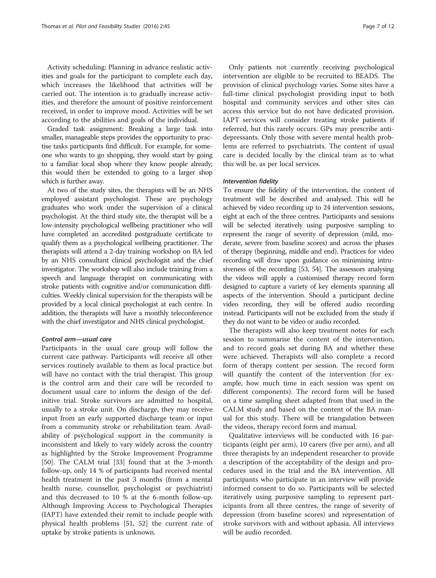Activity scheduling: Planning in advance realistic activities and goals for the participant to complete each day, which increases the likelihood that activities will be carried out. The intention is to gradually increase activities, and therefore the amount of positive reinforcement received, in order to improve mood. Activities will be set according to the abilities and goals of the individual.

Graded task assignment: Breaking a large task into smaller, manageable steps provides the opportunity to practise tasks participants find difficult. For example, for someone who wants to go shopping, they would start by going to a familiar local shop where they know people already; this would then be extended to going to a larger shop which is further away.

At two of the study sites, the therapists will be an NHS employed assistant psychologist. These are psychology graduates who work under the supervision of a clinical psychologist. At the third study site, the therapist will be a low-intensity psychological wellbeing practitioner who will have completed an accredited postgraduate certificate to qualify them as a psychological wellbeing practitioner. The therapists will attend a 2-day training workshop on BA led by an NHS consultant clinical psychologist and the chief investigator. The workshop will also include training from a speech and language therapist on communicating with stroke patients with cognitive and/or communication difficulties. Weekly clinical supervision for the therapists will be provided by a local clinical psychologist at each centre. In addition, the therapists will have a monthly teleconference with the chief investigator and NHS clinical psychologist.

#### Control arm—usual care

Participants in the usual care group will follow the current care pathway. Participants will receive all other services routinely available to them as local practice but will have no contact with the trial therapist. This group is the control arm and their care will be recorded to document usual care to inform the design of the definitive trial. Stroke survivors are admitted to hospital, usually to a stroke unit. On discharge, they may receive input from an early supported discharge team or input from a community stroke or rehabilitation team. Availability of psychological support in the community is inconsistent and likely to vary widely across the country as highlighted by the Stroke Improvement Programme [[50\]](#page-10-0). The CALM trial [[33\]](#page-10-0) found that at the 3-month follow-up, only 14 % of participants had received mental health treatment in the past 3 months (from a mental health nurse, counsellor, psychologist or psychiatrist) and this decreased to 10 % at the 6-month follow-up. Although Improving Access to Psychological Therapies (IAPT) have extended their remit to include people with physical health problems [[51, 52](#page-10-0)] the current rate of uptake by stroke patients is unknown.

Only patients not currently receiving psychological intervention are eligible to be recruited to BEADS. The provision of clinical psychology varies. Some sites have a full-time clinical psychologist providing input to both hospital and community services and other sites can access this service but do not have dedicated provision. IAPT services will consider treating stroke patients if referred, but this rarely occurs. GPs may prescribe antidepressants. Only those with severe mental health problems are referred to psychiatrists. The content of usual care is decided locally by the clinical team as to what this will be, as per local services.

#### Intervention fidelity

To ensure the fidelity of the intervention, the content of treatment will be described and analysed. This will be achieved by video recording up to 24 intervention sessions, eight at each of the three centres. Participants and sessions will be selected iteratively using purposive sampling to represent the range of severity of depression (mild, moderate, severe from baseline scores) and across the phases of therapy (beginning, middle and end). Practices for video recording will draw upon guidance on minimising intrusiveness of the recording [\[53,](#page-10-0) [54\]](#page-10-0). The assessors analysing the videos will apply a customised therapy record form designed to capture a variety of key elements spanning all aspects of the intervention. Should a participant decline video recording, they will be offered audio recording instead. Participants will not be excluded from the study if they do not want to be video or audio recorded.

The therapists will also keep treatment notes for each session to summarise the content of the intervention, and to record goals set during BA and whether these were achieved. Therapists will also complete a record form of therapy content per session. The record form will quantify the content of the intervention (for example, how much time in each session was spent on different components). The record form will be based on a time sampling sheet adapted from that used in the CALM study and based on the content of the BA manual for this study. There will be triangulation between the videos, therapy record form and manual.

Qualitative interviews will be conducted with 16 participants (eight per arm), 10 carers (five per arm), and all three therapists by an independent researcher to provide a description of the acceptability of the design and procedures used in the trial and the BA intervention. All participants who participate in an interview will provide informed consent to do so. Participants will be selected iteratively using purposive sampling to represent participants from all three centres, the range of severity of depression (from baseline scores) and representation of stroke survivors with and without aphasia. All interviews will be audio recorded.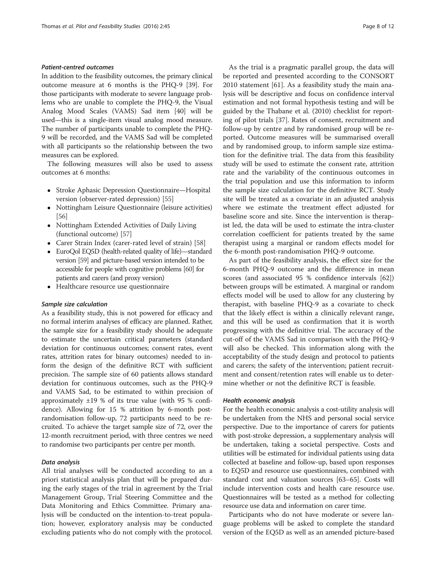#### Patient-centred outcomes

In addition to the feasibility outcomes, the primary clinical outcome measure at 6 months is the PHQ-9 [\[39\]](#page-10-0). For those participants with moderate to severe language problems who are unable to complete the PHQ-9, the Visual Analog Mood Scales (VAMS) Sad item [\[40\]](#page-10-0) will be used—this is a single-item visual analog mood measure. The number of participants unable to complete the PHQ-9 will be recorded, and the VAMS Sad will be completed with all participants so the relationship between the two measures can be explored.

The following measures will also be used to assess outcomes at 6 months:

- Stroke Aphasic Depression Questionnaire—Hospital version (observer-rated depression) [[55](#page-10-0)]
- Nottingham Leisure Questionnaire (leisure activities) [[56](#page-11-0)]
- Nottingham Extended Activities of Daily Living (functional outcome) [[57](#page-11-0)]
- Carer Strain Index (carer-rated level of strain) [\[58](#page-11-0)]
- EuroQol EQ5D (health-related quality of life)—standard version [\[59\]](#page-11-0) and picture-based version intended to be accessible for people with cognitive problems [\[60](#page-11-0)] for patients and carers (and proxy version)
- Healthcare resource use questionnaire

#### Sample size calculation

As a feasibility study, this is not powered for efficacy and no formal interim analyses of efficacy are planned. Rather, the sample size for a feasibility study should be adequate to estimate the uncertain critical parameters (standard deviation for continuous outcomes; consent rates, event rates, attrition rates for binary outcomes) needed to inform the design of the definitive RCT with sufficient precision. The sample size of 60 patients allows standard deviation for continuous outcomes, such as the PHQ-9 and VAMS Sad, to be estimated to within precision of approximately  $\pm 19$  % of its true value (with 95 % confidence). Allowing for 15 % attrition by 6-month postrandomisation follow-up, 72 participants need to be recruited. To achieve the target sample size of 72, over the 12-month recruitment period, with three centres we need to randomise two participants per centre per month.

#### Data analysis

All trial analyses will be conducted according to an a priori statistical analysis plan that will be prepared during the early stages of the trial in agreement by the Trial Management Group, Trial Steering Committee and the Data Monitoring and Ethics Committee. Primary analysis will be conducted on the intention-to-treat population; however, exploratory analysis may be conducted excluding patients who do not comply with the protocol.

As the trial is a pragmatic parallel group, the data will be reported and presented according to the CONSORT 2010 statement [\[61\]](#page-11-0). As a feasibility study the main analysis will be descriptive and focus on confidence interval estimation and not formal hypothesis testing and will be guided by the Thabane et al. (2010) checklist for reporting of pilot trials [\[37\]](#page-10-0). Rates of consent, recruitment and follow-up by centre and by randomised group will be reported. Outcome measures will be summarised overall and by randomised group, to inform sample size estimation for the definitive trial. The data from this feasibility study will be used to estimate the consent rate, attrition rate and the variability of the continuous outcomes in the trial population and use this information to inform the sample size calculation for the definitive RCT. Study site will be treated as a covariate in an adjusted analysis where we estimate the treatment effect adjusted for baseline score and site. Since the intervention is therapist led, the data will be used to estimate the intra-cluster correlation coefficient for patients treated by the same therapist using a marginal or random effects model for the 6-month post-randomisation PHQ-9 outcome.

As part of the feasibility analysis, the effect size for the 6-month PHQ-9 outcome and the difference in mean scores (and associated 95 % confidence intervals [\[62](#page-11-0)]) between groups will be estimated. A marginal or random effects model will be used to allow for any clustering by therapist, with baseline PHQ-9 as a covariate to check that the likely effect is within a clinically relevant range, and this will be used as confirmation that it is worth progressing with the definitive trial. The accuracy of the cut-off of the VAMS Sad in comparison with the PHQ-9 will also be checked. This information along with the acceptability of the study design and protocol to patients and carers; the safety of the intervention; patient recruitment and consent/retention rates will enable us to determine whether or not the definitive RCT is feasible.

#### Health economic analysis

For the health economic analysis a cost-utility analysis will be undertaken from the NHS and personal social service perspective. Due to the importance of carers for patients with post-stroke depression, a supplementary analysis will be undertaken, taking a societal perspective. Costs and utilities will be estimated for individual patients using data collected at baseline and follow-up, based upon responses to EQ5D and resource use questionnaires, combined with standard cost and valuation sources [[63](#page-11-0)–[65\]](#page-11-0). Costs will include intervention costs and health care resource use. Questionnaires will be tested as a method for collecting resource use data and information on carer time.

Participants who do not have moderate or severe language problems will be asked to complete the standard version of the EQ5D as well as an amended picture-based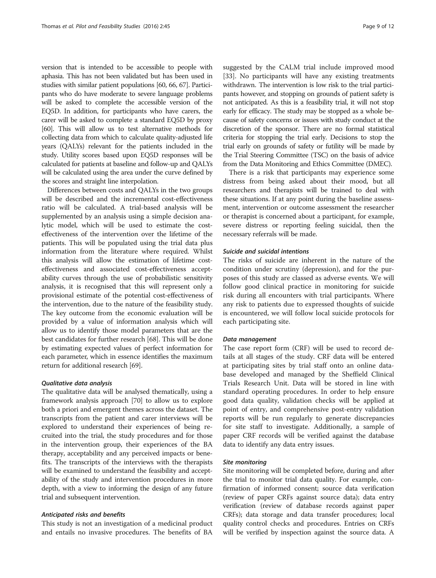version that is intended to be accessible to people with aphasia. This has not been validated but has been used in studies with similar patient populations [[60](#page-11-0), [66](#page-11-0), [67](#page-11-0)]. Participants who do have moderate to severe language problems will be asked to complete the accessible version of the EQ5D. In addition, for participants who have carers, the carer will be asked to complete a standard EQ5D by proxy [[60](#page-11-0)]. This will allow us to test alternative methods for collecting data from which to calculate quality-adjusted life years (QALYs) relevant for the patients included in the study. Utility scores based upon EQ5D responses will be calculated for patients at baseline and follow-up and QALYs will be calculated using the area under the curve defined by the scores and straight line interpolation.

Differences between costs and QALYs in the two groups will be described and the incremental cost-effectiveness ratio will be calculated. A trial-based analysis will be supplemented by an analysis using a simple decision analytic model, which will be used to estimate the costeffectiveness of the intervention over the lifetime of the patients. This will be populated using the trial data plus information from the literature where required. Whilst this analysis will allow the estimation of lifetime costeffectiveness and associated cost-effectiveness acceptability curves through the use of probabilistic sensitivity analysis, it is recognised that this will represent only a provisional estimate of the potential cost-effectiveness of the intervention, due to the nature of the feasibility study. The key outcome from the economic evaluation will be provided by a value of information analysis which will allow us to identify those model parameters that are the best candidates for further research [[68\]](#page-11-0). This will be done by estimating expected values of perfect information for each parameter, which in essence identifies the maximum return for additional research [[69\]](#page-11-0).

#### Qualitative data analysis

The qualitative data will be analysed thematically, using a framework analysis approach [\[70](#page-11-0)] to allow us to explore both a priori and emergent themes across the dataset. The transcripts from the patient and carer interviews will be explored to understand their experiences of being recruited into the trial, the study procedures and for those in the intervention group, their experiences of the BA therapy, acceptability and any perceived impacts or benefits. The transcripts of the interviews with the therapists will be examined to understand the feasibility and acceptability of the study and intervention procedures in more depth, with a view to informing the design of any future trial and subsequent intervention.

#### Anticipated risks and benefits

This study is not an investigation of a medicinal product and entails no invasive procedures. The benefits of BA suggested by the CALM trial include improved mood [[33\]](#page-10-0). No participants will have any existing treatments withdrawn. The intervention is low risk to the trial participants however, and stopping on grounds of patient safety is not anticipated. As this is a feasibility trial, it will not stop early for efficacy. The study may be stopped as a whole because of safety concerns or issues with study conduct at the discretion of the sponsor. There are no formal statistical criteria for stopping the trial early. Decisions to stop the trial early on grounds of safety or futility will be made by the Trial Steering Committee (TSC) on the basis of advice from the Data Monitoring and Ethics Committee (DMEC).

There is a risk that participants may experience some distress from being asked about their mood, but all researchers and therapists will be trained to deal with these situations. If at any point during the baseline assessment, intervention or outcome assessment the researcher or therapist is concerned about a participant, for example, severe distress or reporting feeling suicidal, then the necessary referrals will be made.

#### Suicide and suicidal intentions

The risks of suicide are inherent in the nature of the condition under scrutiny (depression), and for the purposes of this study are classed as adverse events. We will follow good clinical practice in monitoring for suicide risk during all encounters with trial participants. Where any risk to patients due to expressed thoughts of suicide is encountered, we will follow local suicide protocols for each participating site.

#### Data management

The case report form (CRF) will be used to record details at all stages of the study. CRF data will be entered at participating sites by trial staff onto an online database developed and managed by the Sheffield Clinical Trials Research Unit. Data will be stored in line with standard operating procedures. In order to help ensure good data quality, validation checks will be applied at point of entry, and comprehensive post-entry validation reports will be run regularly to generate discrepancies for site staff to investigate. Additionally, a sample of paper CRF records will be verified against the database data to identify any data entry issues.

#### Site monitoring

Site monitoring will be completed before, during and after the trial to monitor trial data quality. For example, confirmation of informed consent; source data verification (review of paper CRFs against source data); data entry verification (review of database records against paper CRFs); data storage and data transfer procedures; local quality control checks and procedures. Entries on CRFs will be verified by inspection against the source data. A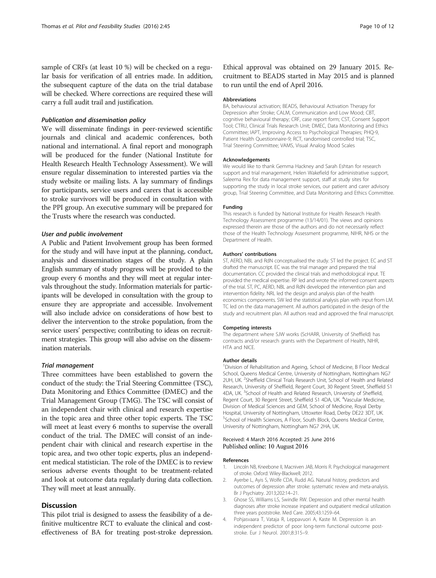<span id="page-9-0"></span>sample of CRFs (at least 10 %) will be checked on a regular basis for verification of all entries made. In addition, the subsequent capture of the data on the trial database will be checked. Where corrections are required these will carry a full audit trail and justification.

#### Publication and dissemination policy

We will disseminate findings in peer-reviewed scientific journals and clinical and academic conferences, both national and international. A final report and monograph will be produced for the funder (National Institute for Health Research Health Technology Assessment). We will ensure regular dissemination to interested parties via the study website or mailing lists. A lay summary of findings for participants, service users and carers that is accessible to stroke survivors will be produced in consultation with the PPI group. An executive summary will be prepared for the Trusts where the research was conducted.

#### User and public involvement

A Public and Patient Involvement group has been formed for the study and will have input at the planning, conduct, analysis and dissemination stages of the study. A plain English summary of study progress will be provided to the group every 6 months and they will meet at regular intervals throughout the study. Information materials for participants will be developed in consultation with the group to ensure they are appropriate and accessible. Involvement will also include advice on considerations of how best to deliver the intervention to the stroke population, from the service users' perspective; contributing to ideas on recruitment strategies. This group will also advise on the dissemination materials.

#### Trial management

Three committees have been established to govern the conduct of the study: the Trial Steering Committee (TSC), Data Monitoring and Ethics Committee (DMEC) and the Trial Management Group (TMG). The TSC will consist of an independent chair with clinical and research expertise in the topic area and three other topic experts. The TSC will meet at least every 6 months to supervise the overall conduct of the trial. The DMEC will consist of an independent chair with clinical and research expertise in the topic area, and two other topic experts, plus an independent medical statistician. The role of the DMEC is to review serious adverse events thought to be treatment-related and look at outcome data regularly during data collection. They will meet at least annually.

### **Discussion**

This pilot trial is designed to assess the feasibility of a definitive multicentre RCT to evaluate the clinical and costeffectiveness of BA for treating post-stroke depression. Ethical approval was obtained on 29 January 2015. Recruitment to BEADS started in May 2015 and is planned to run until the end of April 2016.

#### Abbreviations

BA, behavioural activation; BEADS, Behavioural Activation Therapy for Depression after Stroke; CALM, Communication and Low Mood; CBT, cognitive behavioural therapy; CRF, case report form; CST, Consent Support Tool; CTRU, Clinical Trials Research Unit; DMEC, Data Monitoring and Ethics Committee; IAPT, Improving Access to Psychological Therapies; PHQ-9, Patient Health Questionnaire-9; RCT, randomised controlled trial; TSC, Trial Steering Committee; VAMS, Visual Analog Mood Scales

#### Acknowledgements

We would like to thank Gemma Hackney and Sarah Eshtan for research support and trial management, Helen Wakefield for administrative support, Saleema Rex for data management support, staff at study sites for supporting the study in local stroke services, our patient and carer advisory group, Trial Steering Committee, and Data Monitoring and Ethics Committee.

#### Funding

This research is funded by National Institute for Health Research Health Technology Assessment programme (13/14/01). The views and opinions expressed therein are those of the authors and do not necessarily reflect those of the Health Technology Assessment programme, NIHR, NHS or the Department of Health.

#### Authors' contributions

ST, AERD, NBL and RdN conceptualised the study. ST led the project. EC and ST drafted the manuscript. EC was the trial manager and prepared the trial documentation. CC provided the clinical trials and methodological input. TE provided the medical expertise. RP led and wrote the informed consent aspects of the trial. ST, PC, AERD, NBL and RdN developed the intervention plan and intervention fidelity. NRL led the design and analysis plan of the health economics components. SW led the statistical analysis plan with input from LM. TC led on the data management. All authors participated in the design of the study and recruitment plan. All authors read and approved the final manuscript.

#### Competing interests

The department where SJW works (ScHARR, University of Sheffield) has contracts and/or research grants with the Department of Health, NIHR, HTA and NICE.

#### Author details

<sup>1</sup> Division of Rehabilitation and Ageing, School of Medicine, B Floor Medical School, Queens Medical Centre, University of Nottingham, Nottingham NG7 2UH, UK. <sup>2</sup>Sheffield Clinical Trials Research Unit, School of Health and Related Research, University of Sheffield, Regent Court, 30 Regent Street, Sheffield S1 4DA, UK. <sup>3</sup>School of Health and Related Research, University of Sheffield Regent Court, 30 Regent Street, Sheffield S1 4DA, UK. <sup>4</sup>Vascular Medicine Division of Medical Sciences and GEM, School of Medicine, Royal Derby Hospital, University of Nottingham, Uttoxeter Road, Derby DE22 3DT, UK. 5 School of Health Sciences, A Floor, South Block, Queens Medical Centre, University of Nottingham, Nottingham NG7 2HA, UK.

#### Received: 4 March 2016 Accepted: 25 June 2016 Published online: 10 August 2016

#### References

- 1. Lincoln NB, Kneebone II, Macniven JAB, Morris R. Psychological management of stroke. Oxford: Wiley-Blackwell; 2012.
- 2. Ayerbe L, Ayis S, Wolfe CDA, Rudd AG. Natural history, predictors and outcomes of depression after stroke: systematic review and meta-analysis. Br J Psychiatry. 2013;202:14–21.
- 3. Ghose SS, Williams LS, Swindle RW. Depression and other mental health diagnoses after stroke increase inpatient and outpatient medical utilization three years poststroke. Med Care. 2005;43:1259–64.
- 4. Pohjasvaara T, Vataja R, Leppavuori A, Kaste M. Depression is an independent predictor of poor long-term functional outcome poststroke. Eur J Neurol. 2001;8:315–9.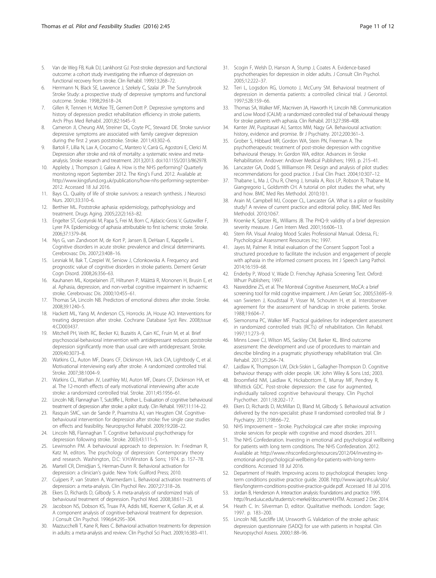- <span id="page-10-0"></span>5. Van de Weg FB, Kuik DJ, Lankhorst GJ. Post-stroke depression and functional outcome: a cohort study investigating the influence of depression on functional recovery from stroke. Clin Rehabil. 1999;13:268–72.
- 6. Herrmann N, Black SE, Lawrence J, Szekely C, Szalai JP. The Sunnybrook Stroke Study: a prospective study of depressive symptoms and functional outcome. Stroke. 1998;29:618–24.
- 7. Gillen R, Tennen H, McKee TE, Gernert-Dott P. Depressive symptoms and history of depression predict rehabilitation efficiency in stroke patients. Arch Phys Med Rehabil. 2001;82:1645–9.
- 8. Cameron JI, Cheung AM, Streiner DL, Coyte PC, Steward DE. Stroke survivor depressive symptoms are associated with family caregiver depression during the first 2 years poststroke. Stroke. 2011;43:302–6.
- 9. Bartoli F, Lillia N, Lax A, Crocamo C, Mantero V, Carrà G, Agostoni E, Clerici M. Depression after stroke and risk of mortality: a systematic review and metaanalysis. Stroke research and treatment. 2013;2013. doi:[10.1155/2013/862978.](http://dx.doi.org/10.1155/2013/862978)
- 10. Appleby J, Thompson J, Galea A. How is the NHS performing? Quarterly monitoring report September 2012. The King's Fund. 2012. Available at: [http://www.kingsfund.org.uk/publications/how-nhs-performing-september-](http://www.kingsfund.org.uk/publications/how-nhs-performing-september-2012)[2012](http://www.kingsfund.org.uk/publications/how-nhs-performing-september-2012). Accessed 18 Jul 2016.
- 11. Bays CL. Quality of life of stroke survivors: a research synthesis. J Neurosci Nurs. 2001;33:310–6.
- 12. Berthier ML. Poststroke aphasia: epidemiology, pathophysiology and treatment. Drugs Aging. 2005;22(2):163–82.
- 13. Engelter ST, Gostynski M, Papa S, Frei M, Born C, Ajdacic-Gross V, Gutzwiller F, Lyrer PA. Epidemiology of aphasia attributable to first ischemic stroke. Stroke. 2006;37:1379–84.
- 14. Nys G, van Zandvoort M, de Kort P, Jansen B, DeHaan E, Kappelle L. Cognitive disorders in acute stroke: prevalence and clinical determinants. Cerebrovasc Dis. 2007;23:408–16.
- 15. Lesniak M, Bak T, Czepiel W, Seniow J, Czlonkowska A. Frequency and prognostic value of cognitive disorders in stroke patients. Dement Geriatr Cogn Disord. 2008;26:356–63.
- 16. Kauhanen ML, Korpelainen JT, Hiltunen P, Määttä R, Mononen H, Brusin E, et al. Aphasia, depression, and non-verbal cognitive impairment in ischaemic stroke. Cerebrovasc Dis. 2000;10:455–61.
- 17. Thomas SA, Lincoln NB. Predictors of emotional distress after stroke. Stroke. 2008;39:1240–5.
- 18. Hackett ML, Yang M, Anderson CS, Horrocks JA, House AO. Interventions for treating depression after stroke. Cochrane Database Syst Rev. 2008;Issue 4:CD003437.
- 19. Mitchell PH, Veith RC, Becker KJ, Buzaitis A, Cain KC, Fruin M, et al. Brief psychosocial-behavioral intervention with antidepressant reduces poststroke depression significantly more than usual care with antidepressant. Stroke. 2009;40:3073–8.
- 20. Watkins CL, Auton MF, Deans CF, Dickinson HA, Jack CIA, Lightbody C, et al. Motivational interviewing early after stroke. A randomized controlled trial. Stroke. 2007;38:1004–9.
- 21. Watkins CL, Wathan JV, Leathley MJ, Auton MF, Deans CF, Dickinson HA, et al. The 12-month effects of early motivational interviewing after acute stroke: a randomized controlled trial. Stroke. 2011;45:1956–61.
- 22. Lincoln NB, Flannaghan T, Sutcliffe L, Rother L. Evaluation of cognitive behavioural treatment of depression after stroke: a pilot study. Clin Rehabil. 1997;11:114–22.
- 23. Rasquin SMC, van de Sande P, Praamstra AJ, van Heugten CM. Cognitivebehavioural intervention for depression after stroke: five single case studies on effects and feasibility. Neuropsychol Rehabil. 2009;19:208–22.
- 24. Lincoln NB, Flannaghan T. Cognitive behavioural psychotherapy for depression following stroke. Stroke. 2003;43:111–5.
- 25. Lewinsohn PM. A behavioural approach to depression. In: Friedman R, Katz M, editors. The psychology of depression: Contemporary theory and research. Washington, D.C: V.H.Winston & Sons; 1974. p. 157–78.
- 26. Martell CR, Dimidjian S, Herman-Dunn R. Behavioral activation for depression: a clinician's guide. New York: Guilford Press; 2010.
- 27. Cuijpers P, van Straten A, Warmerdam L. Behavioral activation treatments of depression: a meta-analysis. Clin Psychol Rev. 2007;27:318–26.
- 28. Ekers D, Richards D, Gilbody S. A meta-analysis of randomized trials of behavioural treatment of depression. Psychol Med. 2008;38:611–23.
- 29. Jacobson NS, Dobson KS, Truax PA, Addis ME, Koerner K, Gollan JK, et al. A component analysis of cognitive-behavioral treatment for depression. J Consult Clin Psychol. 1996;64:295–304.
- 30. Mazzucchelli T, Kane R, Rees C. Behavioral activation treatments for depression in adults: a meta-analysis and review. Clin Psychol Sci Pract. 2009;16:383–411.
- 31. Scogin F, Welsh D, Hanson A, Stump J, Coates A. Evidence-based psychotherapies for depression in older adults. J Consult Clin Psychol. 2005;12:222–37.
- 32. Teri L, Logsdon RG, Uomoto J, McCurry SM. Behavioral treatment of depression in dementia patients: a controlled clinical trial. J Gerontol. 1997;52B:159–66.
- Thomas SA, Walker MF, Macniven JA, Haworth H, Lincoln NB. Communication and Low Mood (CALM): a randomized controlled trial of behavioural therapy for stroke patients with aphasia. Clin Rehabil. 2013;27:398–408.
- 34. Kanter JW, Puspitasari AJ, Santos MM, Nagy GA. Behavioural activation: history, evidence and promise. Br J Psychiatry. 2012;200:361–3.
- 35. Grober S, Hibbard MR, Gordon WA, Stein PN, Freeman A. The psychotherapeutic treatment of post-stroke depression with cognitive behavioural therapy. In: Gordon WA, editor. Advances in Stroke Rehabilitation. Andover: Andover Medical Publishers; 1993. p. 215–41.
- 36. Lancaster GA, Dodd S, Williamson PR. Design and analysis of pilot studies: recommendations for good practice. J Eval Clin Pract. 2004;10:307–12.
- 37. Thabane L, Ma J, Chu R, Cheng J, Ismaila A, Rios LP, Robson R, Thabane M, Giangregorio L, Goldsmith CH. A tutorial on pilot studies: the what, why and how. BMC Med Res Methodol. 2010;10:1.
- 38. Arain M, Campbell MJ, Cooper CL, Lancaster GA. What is a pilot or feasibility study? A review of current practice and editorial policy. BMC Med Res Methodol. 2010;10:67.
- 39. Kroenke K, Spitzer RL, Williams JB. The PHQ-9: validity of a brief depression severity measure. J Gen Intern Med. 2001;16:606–13.
- 40. Stern RA. Visual Analog Mood Scales Professional Manual. Odessa, FL: Psychological Assessment Resources Inc; 1997.
- 41. Jayes M, Palmer R. Initial evaluation of the Consent Support Tool: a structured procedure to facilitate the inclusion and engagement of people with aphasia in the informed consent process. Int J Speech Lang Pathol. 2014;16:159–68.
- 42. Enderby P, Wood V, Wade D. Frenchay Aphasia Screening Test. Oxford: Whurr Publishers; 1997.
- 43. Nasreddine ZS, et al. The Montreal Cognitive Assessment, MoCA: a brief screening tool for mild cognitive impairment. J Am Geriatr Soc. 2005;53:695–9.
- 44. van Swieten J, Koudstaal P, Visser M, Schouten H, et al. Interobserver agreement for the assessment of handicap in stroke patients. Stroke. 1988;19:604–7.
- 45. Siemonsma PC, Walker MF. Practical guidelines for independent assessment in randomized controlled trials (RCTs) of rehabilitation. Clin Rehabil. 1997;11:273–9.
- 46. Minns Lowe CJ, Wilson MS, Sackley CM, Barker KL. Blind outcome assessment: the development and use of procedures to maintain and describe blinding in a pragmatic physiotherapy rehabilitation trial. Clin Rehabil. 2011;25:264–74.
- 47. Laidlaw K, Thompson LW, Dick-Siskin L, Gallagher-Thompson D. Cognitive behaviour therapy with older people. UK: John Wiley & Sons Ltd.; 2003.
- 48. Broomfield NM, Laidlaw K, Hickabottom E, Murray MF, Pendrey R, Whittick GDC. Post-stroke depression: the case for augmented, individually tailored cognitive behavioural therapy. Clin Psychol Psychother. 2011;18:202–17.
- Ekers D, Richards D, McMillan D, Bland M, Gilbody S. Behavioural activation delivered by the non-specialist: phase II randomised controlled trial. Br J Psychiatry. 2011;198:66–72.
- 50. NHS Improvement Stroke. Psychological care after stroke: improving stroke services for people with cognitive and mood disorders. 2011.
- 51. The NHS Confederation. Investing in emotional and psychological wellbeing for patients with long term conditions. The NHS Confederation. 2012. Available at: [http://www.nhsconfed.org/resources/2012/04/investing-in](http://www.nhsconfed.org/resources/2012/04/investing-in-emotional-and-psychological-wellbeing-for-patients-with-long-term-conditions)[emotional-and-psychological-wellbeing-for-patients-with-long-term](http://www.nhsconfed.org/resources/2012/04/investing-in-emotional-and-psychological-wellbeing-for-patients-with-long-term-conditions)[conditions.](http://www.nhsconfed.org/resources/2012/04/investing-in-emotional-and-psychological-wellbeing-for-patients-with-long-term-conditions) Accessed 18 Jul 2016.
- 52. Department of Health. Improving access to psychological therapies: longterm conditions positive practice guide. 2008. [http://www.iapt.nhs.uk/silo/](http://www.iapt.nhs.uk/silo/files/longterm-conditions-positive-practice-guide.pdf) [files/longterm-conditions-positive-practice-guide.pdf.](http://www.iapt.nhs.uk/silo/files/longterm-conditions-positive-practice-guide.pdf) Accessed 18 Jul 2016.
- 53. Jordan B, Henderson A. Interaction analysis: foundations and practice. 1995. <http://lrs.ed.uiuc.edu/students/c-merkel/document4.HTM>. Accessed 2 Dec 2014.
- 54. Heath C. In: Silverman D, editor. Qualitative methods. London: Sage; 1997. p. 183–200.
- 55. Lincoln NB, Sutcliffe LM, Unsworth G. Validation of the stroke aphasic depression questionnaire (SADQ) for use with patients in hospital. Clin Neuropsychol Assess. 2000;1:88–96.